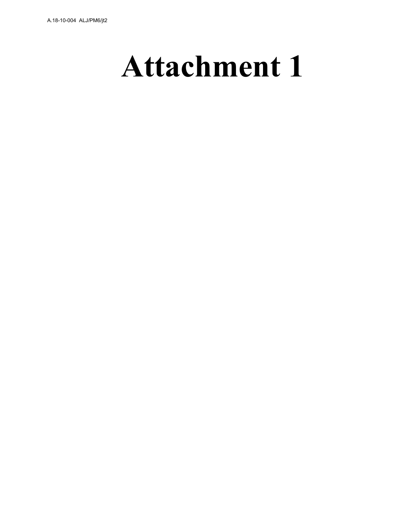# **Attachment 1**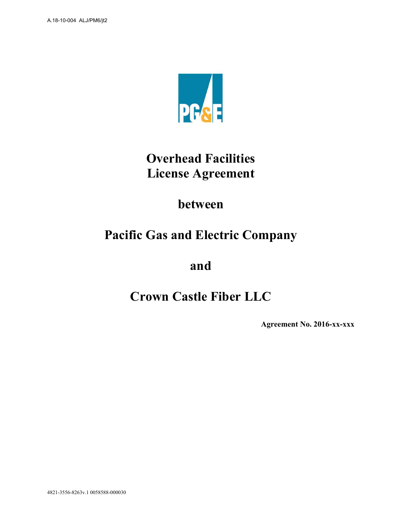

# **Overhead Facilities License Agreement**

# **between**

# **Pacific Gas and Electric Company**

**and** 

# **Crown Castle Fiber LLC**

**Agreement No. 2016-xx-xxx**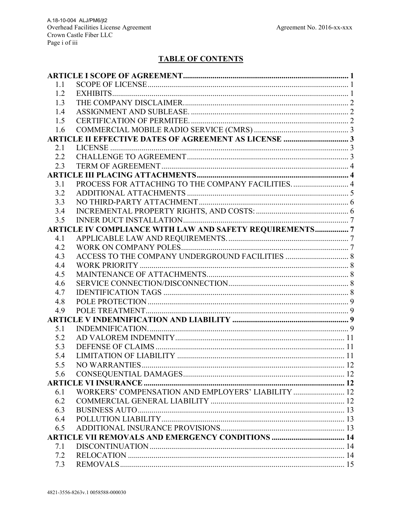# **TABLE OF CONTENTS**

| 1.1 |                                                                 |  |  |  |
|-----|-----------------------------------------------------------------|--|--|--|
| 1.2 |                                                                 |  |  |  |
| 1.3 |                                                                 |  |  |  |
| 1.4 |                                                                 |  |  |  |
| 1.5 |                                                                 |  |  |  |
| 1.6 |                                                                 |  |  |  |
|     |                                                                 |  |  |  |
| 2.1 |                                                                 |  |  |  |
| 2.2 |                                                                 |  |  |  |
| 2.3 |                                                                 |  |  |  |
|     |                                                                 |  |  |  |
| 3.1 | PROCESS FOR ATTACHING TO THE COMPANY FACILITIES.  4             |  |  |  |
| 3.2 |                                                                 |  |  |  |
| 3.3 |                                                                 |  |  |  |
| 3.4 |                                                                 |  |  |  |
| 3.5 |                                                                 |  |  |  |
|     | <b>ARTICLE IV COMPLIANCE WITH LAW AND SAFETY REQUIREMENTS 7</b> |  |  |  |
| 4.1 |                                                                 |  |  |  |
| 4.2 |                                                                 |  |  |  |
| 4.3 |                                                                 |  |  |  |
| 4.4 |                                                                 |  |  |  |
| 4.5 |                                                                 |  |  |  |
| 4.6 |                                                                 |  |  |  |
| 4.7 |                                                                 |  |  |  |
| 4.8 |                                                                 |  |  |  |
| 4.9 |                                                                 |  |  |  |
|     |                                                                 |  |  |  |
| 5.1 |                                                                 |  |  |  |
| 5.2 |                                                                 |  |  |  |
| 5.3 |                                                                 |  |  |  |
| 5.4 |                                                                 |  |  |  |
| 5.5 |                                                                 |  |  |  |
| 5.6 |                                                                 |  |  |  |
|     |                                                                 |  |  |  |
| 6.1 | WORKERS' COMPENSATION AND EMPLOYERS' LIABILITY  12              |  |  |  |
| 6.2 |                                                                 |  |  |  |
| 6.3 |                                                                 |  |  |  |
| 6.4 |                                                                 |  |  |  |
| 6.5 |                                                                 |  |  |  |
|     | <b>ARTICLE VII REMOVALS AND EMERGENCY CONDITIONS  14</b>        |  |  |  |
| 7.1 |                                                                 |  |  |  |
| 7.2 |                                                                 |  |  |  |
| 7.3 |                                                                 |  |  |  |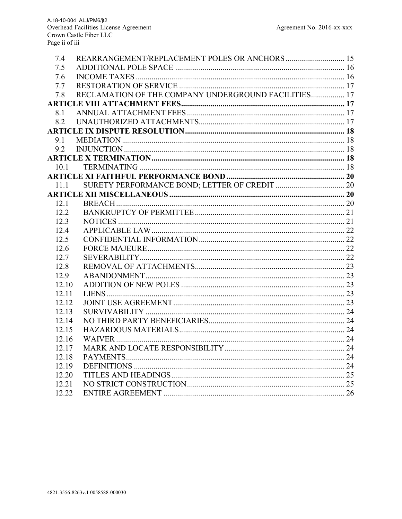| 7.4   | REARRANGEMENT/REPLACEMENT POLES OR ANCHORS 15        |  |
|-------|------------------------------------------------------|--|
| 7.5   |                                                      |  |
| 7.6   |                                                      |  |
| 7.7   |                                                      |  |
| 7.8   | RECLAMATION OF THE COMPANY UNDERGROUND FACILITIES 17 |  |
|       |                                                      |  |
| 8.1   |                                                      |  |
| 8.2   |                                                      |  |
|       |                                                      |  |
| 9.1   |                                                      |  |
| 9.2   |                                                      |  |
|       |                                                      |  |
| 10.1  |                                                      |  |
|       |                                                      |  |
| 11.1  |                                                      |  |
|       |                                                      |  |
| 12.1  |                                                      |  |
| 12.2  |                                                      |  |
| 12.3  |                                                      |  |
| 12.4  |                                                      |  |
| 12.5  |                                                      |  |
| 12.6  |                                                      |  |
| 12.7  |                                                      |  |
| 12.8  |                                                      |  |
| 12.9  |                                                      |  |
| 12.10 |                                                      |  |
| 12.11 |                                                      |  |
| 12.12 |                                                      |  |
| 12.13 |                                                      |  |
| 12.14 |                                                      |  |
| 12.15 |                                                      |  |
| 12.16 |                                                      |  |
| 12.17 |                                                      |  |
| 12.18 |                                                      |  |
| 12.19 |                                                      |  |
| 12.20 |                                                      |  |
| 12.21 |                                                      |  |
| 12.22 |                                                      |  |
|       |                                                      |  |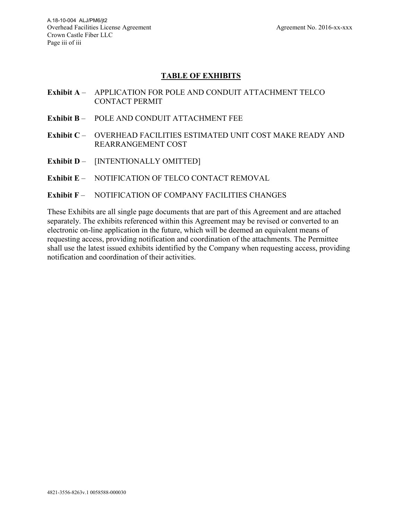## **TABLE OF EXHIBITS**

- **Exhibit A** APPLICATION FOR POLE AND CONDUIT ATTACHMENT TELCO CONTACT PERMIT
- **Exhibit B** POLE AND CONDUIT ATTACHMENT FEE
- **Exhibit C** OVERHEAD FACILITIES ESTIMATED UNIT COST MAKE READY AND REARRANGEMENT COST
- **Exhibit D** [INTENTIONALLY OMITTED]
- **Exhibit E** NOTIFICATION OF TELCO CONTACT REMOVAL

#### **Exhibit F** – NOTIFICATION OF COMPANY FACILITIES CHANGES

These Exhibits are all single page documents that are part of this Agreement and are attached separately. The exhibits referenced within this Agreement may be revised or converted to an electronic on-line application in the future, which will be deemed an equivalent means of requesting access, providing notification and coordination of the attachments. The Permittee shall use the latest issued exhibits identified by the Company when requesting access, providing notification and coordination of their activities.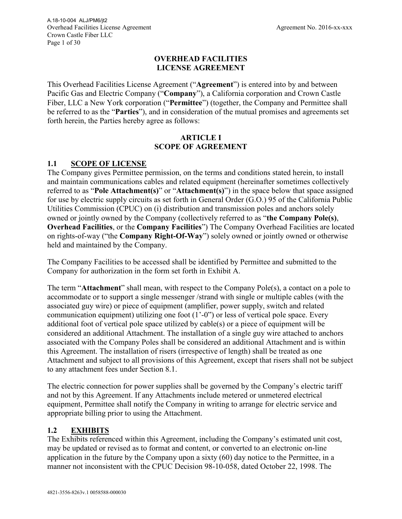#### **OVERHEAD FACILITIES LICENSE AGREEMENT**

This Overhead Facilities License Agreement ("**Agreement**") is entered into by and between Pacific Gas and Electric Company ("**Company**"), a California corporation and Crown Castle Fiber, LLC a New York corporation ("**Permittee**") (together, the Company and Permittee shall be referred to as the "**Parties**"), and in consideration of the mutual promises and agreements set forth herein, the Parties hereby agree as follows:

#### **ARTICLE I SCOPE OF AGREEMENT**

#### **1.1 SCOPE OF LICENSE**

The Company gives Permittee permission, on the terms and conditions stated herein, to install and maintain communications cables and related equipment (hereinafter sometimes collectively referred to as "**Pole Attachment(s)**" or "**Attachment(s)**") in the space below that space assigned for use by electric supply circuits as set forth in General Order (G.O.) 95 of the California Public Utilities Commission (CPUC) on (i) distribution and transmission poles and anchors solely owned or jointly owned by the Company (collectively referred to as "**the Company Pole(s)**, **Overhead Facilities**, or the **Company Facilities**") The Company Overhead Facilities are located on rights-of-way ("the **Company Right-Of-Way**") solely owned or jointly owned or otherwise held and maintained by the Company.

The Company Facilities to be accessed shall be identified by Permittee and submitted to the Company for authorization in the form set forth in Exhibit A.

The term "**Attachment**" shall mean, with respect to the Company Pole(s), a contact on a pole to accommodate or to support a single messenger /strand with single or multiple cables (with the associated guy wire) or piece of equipment (amplifier, power supply, switch and related communication equipment) utilizing one foot (1'-0") or less of vertical pole space. Every additional foot of vertical pole space utilized by cable(s) or a piece of equipment will be considered an additional Attachment. The installation of a single guy wire attached to anchors associated with the Company Poles shall be considered an additional Attachment and is within this Agreement. The installation of risers (irrespective of length) shall be treated as one Attachment and subject to all provisions of this Agreement, except that risers shall not be subject to any attachment fees under Section 8.1.

The electric connection for power supplies shall be governed by the Company's electric tariff and not by this Agreement. If any Attachments include metered or unmetered electrical equipment, Permittee shall notify the Company in writing to arrange for electric service and appropriate billing prior to using the Attachment.

# **1.2 EXHIBITS**

The Exhibits referenced within this Agreement, including the Company's estimated unit cost, may be updated or revised as to format and content, or converted to an electronic on-line application in the future by the Company upon a sixty (60) day notice to the Permittee, in a manner not inconsistent with the CPUC Decision 98-10-058, dated October 22, 1998. The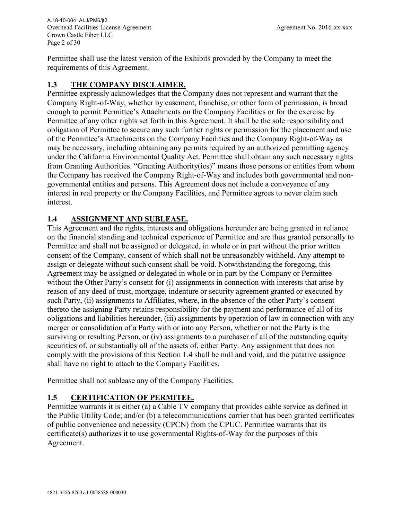Overhead Facilities License Agreement Agreement No. 2016-xx-xxx Crown Castle Fiber LLC Page 2 of 30 A.18-10-004 ALJ/PM6/jt2

Permittee shall use the latest version of the Exhibits provided by the Company to meet the requirements of this Agreement.

# **1.3 THE COMPANY DISCLAIMER.**

Permittee expressly acknowledges that the Company does not represent and warrant that the Company Right-of-Way, whether by easement, franchise, or other form of permission, is broad enough to permit Permittee's Attachments on the Company Facilities or for the exercise by Permittee of any other rights set forth in this Agreement. It shall be the sole responsibility and obligation of Permittee to secure any such further rights or permission for the placement and use of the Permittee's Attachments on the Company Facilities and the Company Right-of-Way as may be necessary, including obtaining any permits required by an authorized permitting agency under the California Environmental Quality Act. Permittee shall obtain any such necessary rights from Granting Authorities. "Granting Authority(ies)" means those persons or entities from whom the Company has received the Company Right-of-Way and includes both governmental and nongovernmental entities and persons. This Agreement does not include a conveyance of any interest in real property or the Company Facilities, and Permittee agrees to never claim such interest.

#### **1.4 ASSIGNMENT AND SUBLEASE.**

This Agreement and the rights, interests and obligations hereunder are being granted in reliance on the financial standing and technical experience of Permittee and are thus granted personally to Permittee and shall not be assigned or delegated, in whole or in part without the prior written consent of the Company, consent of which shall not be unreasonably withheld. Any attempt to assign or delegate without such consent shall be void. Notwithstanding the foregoing, this Agreement may be assigned or delegated in whole or in part by the Company or Permittee without the Other Party's consent for (i) assignments in connection with interests that arise by reason of any deed of trust, mortgage, indenture or security agreement granted or executed by such Party, (ii) assignments to Affiliates, where, in the absence of the other Party's consent thereto the assigning Party retains responsibility for the payment and performance of all of its obligations and liabilities hereunder, (iii) assignments by operation of law in connection with any merger or consolidation of a Party with or into any Person, whether or not the Party is the surviving or resulting Person, or (iv) assignments to a purchaser of all of the outstanding equity securities of, or substantially all of the assets of, either Party. Any assignment that does not comply with the provisions of this Section 1.4 shall be null and void, and the putative assignee shall have no right to attach to the Company Facilities.

Permittee shall not sublease any of the Company Facilities.

#### **1.5 CERTIFICATION OF PERMITEE.**

Permittee warrants it is either (a) a Cable TV company that provides cable service as defined in the Public Utility Code; and/or (b) a telecommunications carrier that has been granted certificates of public convenience and necessity (CPCN) from the CPUC. Permittee warrants that its certificate(s) authorizes it to use governmental Rights-of-Way for the purposes of this Agreement.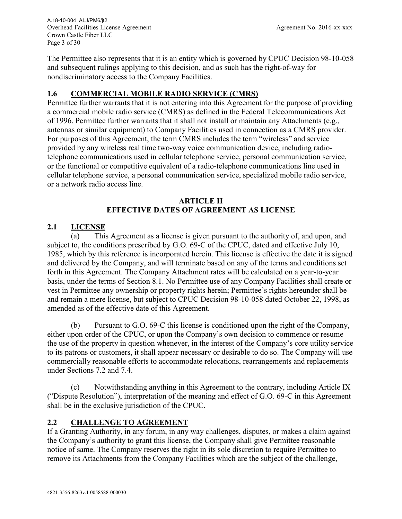Overhead Facilities License Agreement Agreement No. 2016-xx-xxx Crown Castle Fiber LLC Page 3 of 30 A.18-10-004 ALJ/PM6/jt2

The Permittee also represents that it is an entity which is governed by CPUC Decision 98-10-058 and subsequent rulings applying to this decision, and as such has the right-of-way for nondiscriminatory access to the Company Facilities.

# **1.6 COMMERCIAL MOBILE RADIO SERVICE (CMRS)**

Permittee further warrants that it is not entering into this Agreement for the purpose of providing a commercial mobile radio service (CMRS) as defined in the Federal Telecommunications Act of 1996. Permittee further warrants that it shall not install or maintain any Attachments (e.g., antennas or similar equipment) to Company Facilities used in connection as a CMRS provider. For purposes of this Agreement, the term CMRS includes the term "wireless" and service provided by any wireless real time two-way voice communication device, including radiotelephone communications used in cellular telephone service, personal communication service, or the functional or competitive equivalent of a radio-telephone communications line used in cellular telephone service, a personal communication service, specialized mobile radio service, or a network radio access line.

#### **ARTICLE II EFFECTIVE DATES OF AGREEMENT AS LICENSE**

# **2.1 LICENSE**

(a) This Agreement as a license is given pursuant to the authority of, and upon, and subject to, the conditions prescribed by G.O. 69-C of the CPUC, dated and effective July 10, 1985, which by this reference is incorporated herein. This license is effective the date it is signed and delivered by the Company, and will terminate based on any of the terms and conditions set forth in this Agreement. The Company Attachment rates will be calculated on a year-to-year basis, under the terms of Section 8.1. No Permittee use of any Company Facilities shall create or vest in Permittee any ownership or property rights herein; Permittee's rights hereunder shall be and remain a mere license, but subject to CPUC Decision 98-10-058 dated October 22, 1998, as amended as of the effective date of this Agreement.

(b) Pursuant to G.O. 69-C this license is conditioned upon the right of the Company, either upon order of the CPUC, or upon the Company's own decision to commence or resume the use of the property in question whenever, in the interest of the Company's core utility service to its patrons or customers, it shall appear necessary or desirable to do so. The Company will use commercially reasonable efforts to accommodate relocations, rearrangements and replacements under Sections 7.2 and 7.4.

(c) Notwithstanding anything in this Agreement to the contrary, including Article IX ("Dispute Resolution"), interpretation of the meaning and effect of G.O. 69-C in this Agreement shall be in the exclusive jurisdiction of the CPUC.

#### **2.2 CHALLENGE TO AGREEMENT**

If a Granting Authority, in any forum, in any way challenges, disputes, or makes a claim against the Company's authority to grant this license, the Company shall give Permittee reasonable notice of same. The Company reserves the right in its sole discretion to require Permittee to remove its Attachments from the Company Facilities which are the subject of the challenge,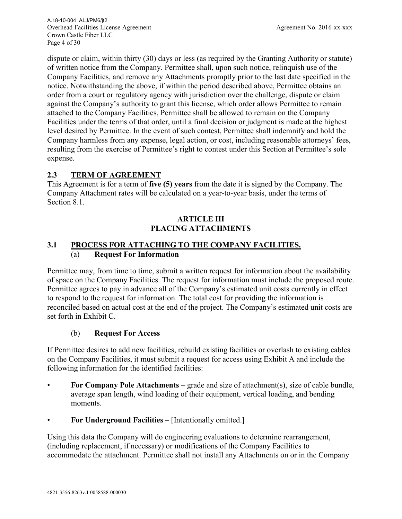Overhead Facilities License Agreement Agreement No. 2016-xx-xxx Crown Castle Fiber LLC Page 4 of 30 A.18-10-004 ALJ/PM6/jt2

dispute or claim, within thirty (30) days or less (as required by the Granting Authority or statute) of written notice from the Company. Permittee shall, upon such notice, relinquish use of the Company Facilities, and remove any Attachments promptly prior to the last date specified in the notice. Notwithstanding the above, if within the period described above, Permittee obtains an order from a court or regulatory agency with jurisdiction over the challenge, dispute or claim against the Company's authority to grant this license, which order allows Permittee to remain attached to the Company Facilities, Permittee shall be allowed to remain on the Company Facilities under the terms of that order, until a final decision or judgment is made at the highest level desired by Permittee. In the event of such contest, Permittee shall indemnify and hold the Company harmless from any expense, legal action, or cost, including reasonable attorneys' fees, resulting from the exercise of Permittee's right to contest under this Section at Permittee's sole expense.

#### **2.3 TERM OF AGREEMENT**

This Agreement is for a term of **five (5) years** from the date it is signed by the Company. The Company Attachment rates will be calculated on a year-to-year basis, under the terms of Section 8.1.

## **ARTICLE III PLACING ATTACHMENTS**

#### **3.1 PROCESS FOR ATTACHING TO THE COMPANY FACILITIES.**  (a) **Request For Information**

Permittee may, from time to time, submit a written request for information about the availability of space on the Company Facilities. The request for information must include the proposed route. Permittee agrees to pay in advance all of the Company's estimated unit costs currently in effect to respond to the request for information. The total cost for providing the information is reconciled based on actual cost at the end of the project. The Company's estimated unit costs are set forth in Exhibit C.

#### (b) **Request For Access**

If Permittee desires to add new facilities, rebuild existing facilities or overlash to existing cables on the Company Facilities, it must submit a request for access using Exhibit A and include the following information for the identified facilities:

- **For Company Pole Attachments** grade and size of attachment(s), size of cable bundle, average span length, wind loading of their equipment, vertical loading, and bending moments.
- **For Underground Facilities** [Intentionally omitted.]

Using this data the Company will do engineering evaluations to determine rearrangement, (including replacement, if necessary) or modifications of the Company Facilities to accommodate the attachment. Permittee shall not install any Attachments on or in the Company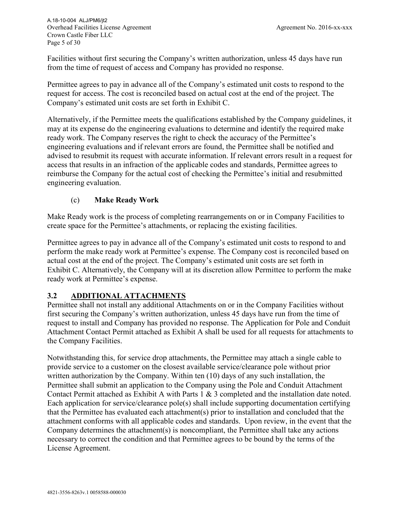Facilities without first securing the Company's written authorization, unless 45 days have run from the time of request of access and Company has provided no response.

Permittee agrees to pay in advance all of the Company's estimated unit costs to respond to the request for access. The cost is reconciled based on actual cost at the end of the project. The Company's estimated unit costs are set forth in Exhibit C.

Alternatively, if the Permittee meets the qualifications established by the Company guidelines, it may at its expense do the engineering evaluations to determine and identify the required make ready work. The Company reserves the right to check the accuracy of the Permittee's engineering evaluations and if relevant errors are found, the Permittee shall be notified and advised to resubmit its request with accurate information. If relevant errors result in a request for access that results in an infraction of the applicable codes and standards, Permittee agrees to reimburse the Company for the actual cost of checking the Permittee's initial and resubmitted engineering evaluation.

# (c) **Make Ready Work**

Make Ready work is the process of completing rearrangements on or in Company Facilities to create space for the Permittee's attachments, or replacing the existing facilities.

Permittee agrees to pay in advance all of the Company's estimated unit costs to respond to and perform the make ready work at Permittee's expense. The Company cost is reconciled based on actual cost at the end of the project. The Company's estimated unit costs are set forth in Exhibit C. Alternatively, the Company will at its discretion allow Permittee to perform the make ready work at Permittee's expense.

#### **3.2 ADDITIONAL ATTACHMENTS**

Permittee shall not install any additional Attachments on or in the Company Facilities without first securing the Company's written authorization, unless 45 days have run from the time of request to install and Company has provided no response. The Application for Pole and Conduit Attachment Contact Permit attached as Exhibit A shall be used for all requests for attachments to the Company Facilities.

Notwithstanding this, for service drop attachments, the Permittee may attach a single cable to provide service to a customer on the closest available service/clearance pole without prior written authorization by the Company. Within ten (10) days of any such installation, the Permittee shall submit an application to the Company using the Pole and Conduit Attachment Contact Permit attached as Exhibit A with Parts 1 & 3 completed and the installation date noted. Each application for service/clearance pole(s) shall include supporting documentation certifying that the Permittee has evaluated each attachment(s) prior to installation and concluded that the attachment conforms with all applicable codes and standards. Upon review, in the event that the Company determines the attachment(s) is noncompliant, the Permittee shall take any actions necessary to correct the condition and that Permittee agrees to be bound by the terms of the License Agreement.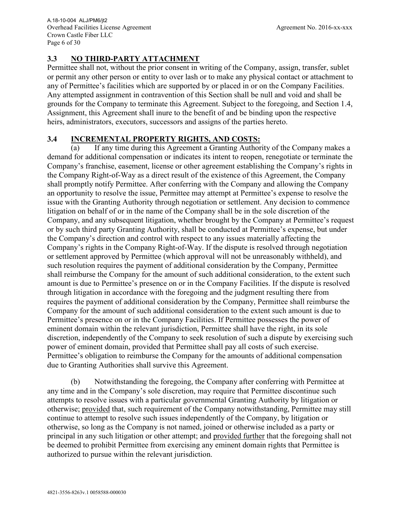# **3.3 NO THIRD-PARTY ATTACHMENT**

Permittee shall not, without the prior consent in writing of the Company, assign, transfer, sublet or permit any other person or entity to over lash or to make any physical contact or attachment to any of Permittee's facilities which are supported by or placed in or on the Company Facilities. Any attempted assignment in contravention of this Section shall be null and void and shall be grounds for the Company to terminate this Agreement. Subject to the foregoing, and Section 1.4, Assignment, this Agreement shall inure to the benefit of and be binding upon the respective heirs, administrators, executors, successors and assigns of the parties hereto.

# **3.4 INCREMENTAL PROPERTY RIGHTS, AND COSTS:**

(a) If any time during this Agreement a Granting Authority of the Company makes a demand for additional compensation or indicates its intent to reopen, renegotiate or terminate the Company's franchise, easement, license or other agreement establishing the Company's rights in the Company Right-of-Way as a direct result of the existence of this Agreement, the Company shall promptly notify Permittee. After conferring with the Company and allowing the Company an opportunity to resolve the issue, Permittee may attempt at Permittee's expense to resolve the issue with the Granting Authority through negotiation or settlement. Any decision to commence litigation on behalf of or in the name of the Company shall be in the sole discretion of the Company, and any subsequent litigation, whether brought by the Company at Permittee's request or by such third party Granting Authority, shall be conducted at Permittee's expense, but under the Company's direction and control with respect to any issues materially affecting the Company's rights in the Company Right-of-Way. If the dispute is resolved through negotiation or settlement approved by Permittee (which approval will not be unreasonably withheld), and such resolution requires the payment of additional consideration by the Company, Permittee shall reimburse the Company for the amount of such additional consideration, to the extent such amount is due to Permittee's presence on or in the Company Facilities. If the dispute is resolved through litigation in accordance with the foregoing and the judgment resulting there from requires the payment of additional consideration by the Company, Permittee shall reimburse the Company for the amount of such additional consideration to the extent such amount is due to Permittee's presence on or in the Company Facilities. If Permittee possesses the power of eminent domain within the relevant jurisdiction, Permittee shall have the right, in its sole discretion, independently of the Company to seek resolution of such a dispute by exercising such power of eminent domain, provided that Permittee shall pay all costs of such exercise. Permittee's obligation to reimburse the Company for the amounts of additional compensation due to Granting Authorities shall survive this Agreement.

(b) Notwithstanding the foregoing, the Company after conferring with Permittee at any time and in the Company's sole discretion, may require that Permittee discontinue such attempts to resolve issues with a particular governmental Granting Authority by litigation or otherwise; provided that, such requirement of the Company notwithstanding, Permittee may still continue to attempt to resolve such issues independently of the Company, by litigation or otherwise, so long as the Company is not named, joined or otherwise included as a party or principal in any such litigation or other attempt; and provided further that the foregoing shall not be deemed to prohibit Permittee from exercising any eminent domain rights that Permittee is authorized to pursue within the relevant jurisdiction.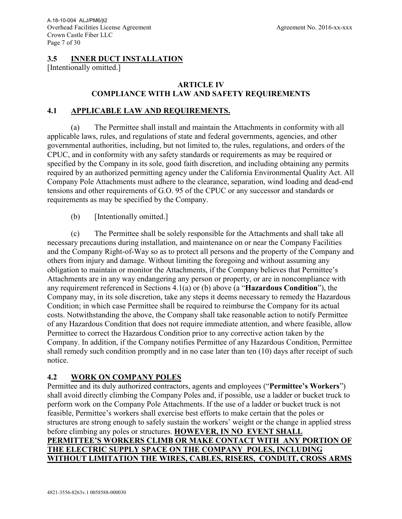#### **3.5 INNER DUCT INSTALLATION**

[Intentionally omitted.]

#### **ARTICLE IV COMPLIANCE WITH LAW AND SAFETY REQUIREMENTS**

#### **4.1 APPLICABLE LAW AND REQUIREMENTS.**

(a) The Permittee shall install and maintain the Attachments in conformity with all applicable laws, rules, and regulations of state and federal governments, agencies, and other governmental authorities, including, but not limited to, the rules, regulations, and orders of the CPUC, and in conformity with any safety standards or requirements as may be required or specified by the Company in its sole, good faith discretion, and including obtaining any permits required by an authorized permitting agency under the California Environmental Quality Act. All Company Pole Attachments must adhere to the clearance, separation, wind loading and dead-end tensions and other requirements of G.O. 95 of the CPUC or any successor and standards or requirements as may be specified by the Company.

(b) [Intentionally omitted.]

(c) The Permittee shall be solely responsible for the Attachments and shall take all necessary precautions during installation, and maintenance on or near the Company Facilities and the Company Right-of-Way so as to protect all persons and the property of the Company and others from injury and damage. Without limiting the foregoing and without assuming any obligation to maintain or monitor the Attachments, if the Company believes that Permittee's Attachments are in any way endangering any person or property, or are in noncompliance with any requirement referenced in Sections 4.1(a) or (b) above (a "**Hazardous Condition**"), the Company may, in its sole discretion, take any steps it deems necessary to remedy the Hazardous Condition; in which case Permittee shall be required to reimburse the Company for its actual costs. Notwithstanding the above, the Company shall take reasonable action to notify Permittee of any Hazardous Condition that does not require immediate attention, and where feasible, allow Permittee to correct the Hazardous Condition prior to any corrective action taken by the Company. In addition, if the Company notifies Permittee of any Hazardous Condition, Permittee shall remedy such condition promptly and in no case later than ten (10) days after receipt of such notice.

#### **4.2 WORK ON COMPANY POLES**

Permittee and its duly authorized contractors, agents and employees ("**Permittee's Workers**") shall avoid directly climbing the Company Poles and, if possible, use a ladder or bucket truck to perform work on the Company Pole Attachments. If the use of a ladder or bucket truck is not feasible, Permittee's workers shall exercise best efforts to make certain that the poles or structures are strong enough to safely sustain the workers' weight or the change in applied stress before climbing any poles or structures. **HOWEVER, IN NO EVENT SHALL PERMITTEE'S WORKERS CLIMB OR MAKE CONTACT WITH ANY PORTION OF THE ELECTRIC SUPPLY SPACE ON THE COMPANY POLES, INCLUDING WITHOUT LIMITATION THE WIRES, CABLES, RISERS, CONDUIT, CROSS ARMS**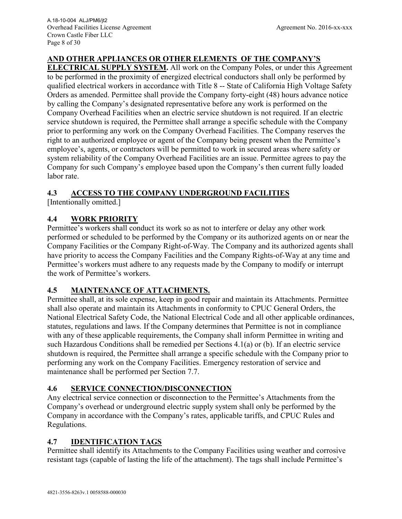# **AND OTHER APPLIANCES OR OTHER ELEMENTS OF THE COMPANY'S**

**ELECTRICAL SUPPLY SYSTEM.** All work on the Company Poles, or under this Agreement to be performed in the proximity of energized electrical conductors shall only be performed by qualified electrical workers in accordance with Title 8 -- State of California High Voltage Safety Orders as amended. Permittee shall provide the Company forty-eight (48) hours advance notice by calling the Company's designated representative before any work is performed on the Company Overhead Facilities when an electric service shutdown is not required. If an electric service shutdown is required, the Permittee shall arrange a specific schedule with the Company prior to performing any work on the Company Overhead Facilities. The Company reserves the right to an authorized employee or agent of the Company being present when the Permittee's employee's, agents, or contractors will be permitted to work in secured areas where safety or system reliability of the Company Overhead Facilities are an issue. Permittee agrees to pay the Company for such Company's employee based upon the Company's then current fully loaded labor rate.

# **4.3 ACCESS TO THE COMPANY UNDERGROUND FACILITIES**

[Intentionally omitted.]

# **4.4 WORK PRIORITY**

Permittee's workers shall conduct its work so as not to interfere or delay any other work performed or scheduled to be performed by the Company or its authorized agents on or near the Company Facilities or the Company Right-of-Way. The Company and its authorized agents shall have priority to access the Company Facilities and the Company Rights-of-Way at any time and Permittee's workers must adhere to any requests made by the Company to modify or interrupt the work of Permittee's workers.

#### **4.5 MAINTENANCE OF ATTACHMENTS.**

Permittee shall, at its sole expense, keep in good repair and maintain its Attachments. Permittee shall also operate and maintain its Attachments in conformity to CPUC General Orders, the National Electrical Safety Code, the National Electrical Code and all other applicable ordinances, statutes, regulations and laws. If the Company determines that Permittee is not in compliance with any of these applicable requirements, the Company shall inform Permittee in writing and such Hazardous Conditions shall be remedied per Sections 4.1(a) or (b). If an electric service shutdown is required, the Permittee shall arrange a specific schedule with the Company prior to performing any work on the Company Facilities. Emergency restoration of service and maintenance shall be performed per Section 7.7.

#### **4.6 SERVICE CONNECTION/DISCONNECTION**

Any electrical service connection or disconnection to the Permittee's Attachments from the Company's overhead or underground electric supply system shall only be performed by the Company in accordance with the Company's rates, applicable tariffs, and CPUC Rules and Regulations.

#### **4.7 IDENTIFICATION TAGS**

Permittee shall identify its Attachments to the Company Facilities using weather and corrosive resistant tags (capable of lasting the life of the attachment). The tags shall include Permittee's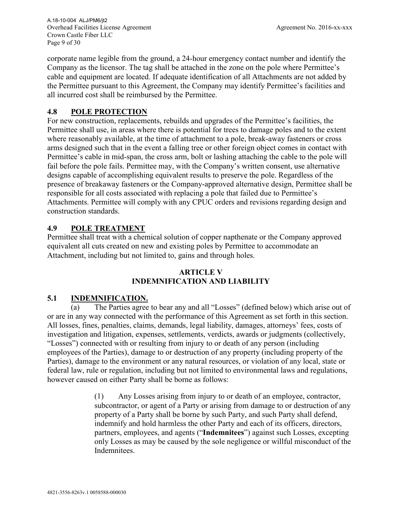Overhead Facilities License Agreement Agreement No. 2016-xx-xxx Crown Castle Fiber LLC Page 9 of 30 A.18-10-004 ALJ/PM6/jt2

corporate name legible from the ground, a 24-hour emergency contact number and identify the Company as the licensor. The tag shall be attached in the zone on the pole where Permittee's cable and equipment are located. If adequate identification of all Attachments are not added by the Permittee pursuant to this Agreement, the Company may identify Permittee's facilities and all incurred cost shall be reimbursed by the Permittee.

#### **4.8 POLE PROTECTION**

For new construction, replacements, rebuilds and upgrades of the Permittee's facilities, the Permittee shall use, in areas where there is potential for trees to damage poles and to the extent where reasonably available, at the time of attachment to a pole, break-away fasteners or cross arms designed such that in the event a falling tree or other foreign object comes in contact with Permittee's cable in mid-span, the cross arm, bolt or lashing attaching the cable to the pole will fail before the pole fails. Permittee may, with the Company's written consent, use alternative designs capable of accomplishing equivalent results to preserve the pole. Regardless of the presence of breakaway fasteners or the Company-approved alternative design, Permittee shall be responsible for all costs associated with replacing a pole that failed due to Permittee's Attachments. Permittee will comply with any CPUC orders and revisions regarding design and construction standards.

# **4.9 POLE TREATMENT**

Permittee shall treat with a chemical solution of copper napthenate or the Company approved equivalent all cuts created on new and existing poles by Permittee to accommodate an Attachment, including but not limited to, gains and through holes.

#### **ARTICLE V INDEMNIFICATION AND LIABILITY**

# **5.1 INDEMNIFICATION.**

(a) The Parties agree to bear any and all "Losses" (defined below) which arise out of or are in any way connected with the performance of this Agreement as set forth in this section. All losses, fines, penalties, claims, demands, legal liability, damages, attorneys' fees, costs of investigation and litigation, expenses, settlements, verdicts, awards or judgments (collectively, "Losses") connected with or resulting from injury to or death of any person (including employees of the Parties), damage to or destruction of any property (including property of the Parties), damage to the environment or any natural resources, or violation of any local, state or federal law, rule or regulation, including but not limited to environmental laws and regulations, however caused on either Party shall be borne as follows:

> (1) Any Losses arising from injury to or death of an employee, contractor, subcontractor, or agent of a Party or arising from damage to or destruction of any property of a Party shall be borne by such Party, and such Party shall defend, indemnify and hold harmless the other Party and each of its officers, directors, partners, employees, and agents ("**Indemnitees**") against such Losses, excepting only Losses as may be caused by the sole negligence or willful misconduct of the Indemnitees.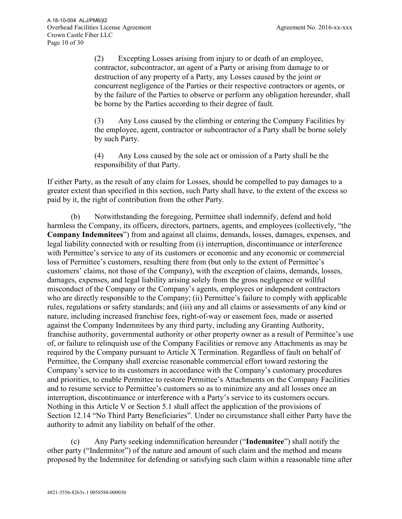(2) Excepting Losses arising from injury to or death of an employee, contractor, subcontractor, an agent of a Party or arising from damage to or destruction of any property of a Party, any Losses caused by the joint or concurrent negligence of the Parties or their respective contractors or agents, or by the failure of the Parties to observe or perform any obligation hereunder, shall be borne by the Parties according to their degree of fault.

(3) Any Loss caused by the climbing or entering the Company Facilities by the employee, agent, contractor or subcontractor of a Party shall be borne solely by such Party.

(4) Any Loss caused by the sole act or omission of a Party shall be the responsibility of that Party.

If either Party, as the result of any claim for Losses, should be compelled to pay damages to a greater extent than specified in this section, such Party shall have, to the extent of the excess so paid by it, the right of contribution from the other Party.

(b) Notwithstanding the foregoing, Permittee shall indemnify, defend and hold harmless the Company, its officers, directors, partners, agents, and employees (collectively, "the **Company Indemnitees**") from and against all claims, demands, losses, damages, expenses, and legal liability connected with or resulting from (i) interruption, discontinuance or interference with Permittee's service to any of its customers or economic and any economic or commercial loss of Permittee's customers, resulting there from (but only to the extent of Permittee's customers' claims, not those of the Company), with the exception of claims, demands, losses, damages, expenses, and legal liability arising solely from the gross negligence or willful misconduct of the Company or the Company's agents, employees or independent contractors who are directly responsible to the Company; (ii) Permittee's failure to comply with applicable rules, regulations or safety standards; and (iii) any and all claims or assessments of any kind or nature, including increased franchise fees, right-of-way or easement fees, made or asserted against the Company Indemnitees by any third party, including any Granting Authority, franchise authority, governmental authority or other property owner as a result of Permittee's use of, or failure to relinquish use of the Company Facilities or remove any Attachments as may be required by the Company pursuant to Article X Termination. Regardless of fault on behalf of Permittee, the Company shall exercise reasonable commercial effort toward restoring the Company's service to its customers in accordance with the Company's customary procedures and priorities, to enable Permittee to restore Permittee's Attachments on the Company Facilities and to resume service to Permittee's customers so as to minimize any and all losses once an interruption, discontinuance or interference with a Party's service to its customers occurs. Nothing in this Article V or Section 5.1 shall affect the application of the provisions of Section 12.14 "No Third Party Beneficiaries". Under no circumstance shall either Party have the authority to admit any liability on behalf of the other.

(c) Any Party seeking indemnification hereunder ("**Indemnitee**") shall notify the other party ("Indemnitor") of the nature and amount of such claim and the method and means proposed by the Indemnitee for defending or satisfying such claim within a reasonable time after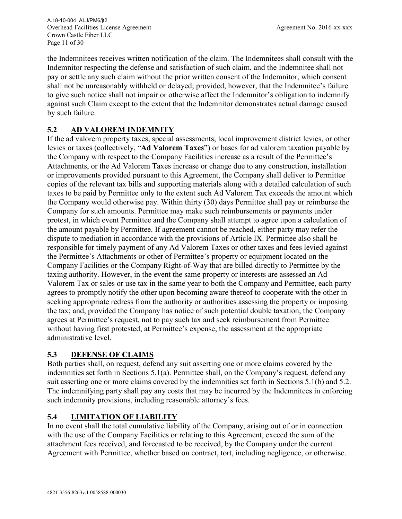the Indemnitees receives written notification of the claim. The Indemnitees shall consult with the Indemnitor respecting the defense and satisfaction of such claim, and the Indemnitee shall not pay or settle any such claim without the prior written consent of the Indemnitor, which consent shall not be unreasonably withheld or delayed; provided, however, that the Indemnitee's failure to give such notice shall not impair or otherwise affect the Indemnitor's obligation to indemnify against such Claim except to the extent that the Indemnitor demonstrates actual damage caused by such failure.

# **5.2 AD VALOREM INDEMNITY**

If the ad valorem property taxes, special assessments, local improvement district levies, or other levies or taxes (collectively, "**Ad Valorem Taxes**") or bases for ad valorem taxation payable by the Company with respect to the Company Facilities increase as a result of the Permittee's Attachments, or the Ad Valorem Taxes increase or change due to any construction, installation or improvements provided pursuant to this Agreement, the Company shall deliver to Permittee copies of the relevant tax bills and supporting materials along with a detailed calculation of such taxes to be paid by Permittee only to the extent such Ad Valorem Tax exceeds the amount which the Company would otherwise pay. Within thirty (30) days Permittee shall pay or reimburse the Company for such amounts. Permittee may make such reimbursements or payments under protest, in which event Permittee and the Company shall attempt to agree upon a calculation of the amount payable by Permittee. If agreement cannot be reached, either party may refer the dispute to mediation in accordance with the provisions of Article IX. Permittee also shall be responsible for timely payment of any Ad Valorem Taxes or other taxes and fees levied against the Permittee's Attachments or other of Permittee's property or equipment located on the Company Facilities or the Company Right-of-Way that are billed directly to Permittee by the taxing authority. However, in the event the same property or interests are assessed an Ad Valorem Tax or sales or use tax in the same year to both the Company and Permittee, each party agrees to promptly notify the other upon becoming aware thereof to cooperate with the other in seeking appropriate redress from the authority or authorities assessing the property or imposing the tax; and, provided the Company has notice of such potential double taxation, the Company agrees at Permittee's request, not to pay such tax and seek reimbursement from Permittee without having first protested, at Permittee's expense, the assessment at the appropriate administrative level.

# **5.3 DEFENSE OF CLAIMS**

Both parties shall, on request, defend any suit asserting one or more claims covered by the indemnities set forth in Sections 5.1(a). Permittee shall, on the Company's request, defend any suit asserting one or more claims covered by the indemnities set forth in Sections 5.1(b) and 5.2. The indemnifying party shall pay any costs that may be incurred by the Indemnitees in enforcing such indemnity provisions, including reasonable attorney's fees.

# **5.4 LIMITATION OF LIABILITY**

In no event shall the total cumulative liability of the Company, arising out of or in connection with the use of the Company Facilities or relating to this Agreement, exceed the sum of the attachment fees received, and forecasted to be received, by the Company under the current Agreement with Permittee, whether based on contract, tort, including negligence, or otherwise.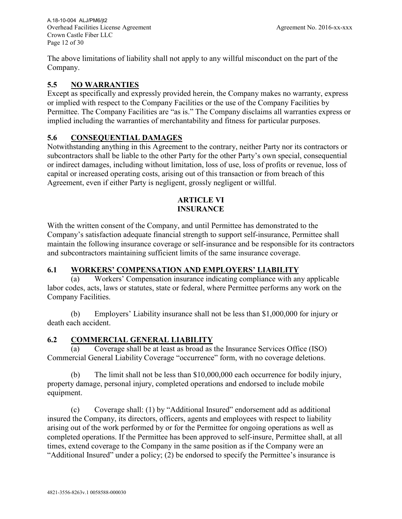Overhead Facilities License Agreement Agreement No. 2016-xx-xxx Crown Castle Fiber LLC Page 12 of 30 A.18-10-004 ALJ/PM6/jt2

The above limitations of liability shall not apply to any willful misconduct on the part of the Company.

## **5.5 NO WARRANTIES**

Except as specifically and expressly provided herein, the Company makes no warranty, express or implied with respect to the Company Facilities or the use of the Company Facilities by Permittee. The Company Facilities are "as is." The Company disclaims all warranties express or implied including the warranties of merchantability and fitness for particular purposes.

#### **5.6 CONSEQUENTIAL DAMAGES**

Notwithstanding anything in this Agreement to the contrary, neither Party nor its contractors or subcontractors shall be liable to the other Party for the other Party's own special, consequential or indirect damages, including without limitation, loss of use, loss of profits or revenue, loss of capital or increased operating costs, arising out of this transaction or from breach of this Agreement, even if either Party is negligent, grossly negligent or willful.

#### **ARTICLE VI INSURANCE**

With the written consent of the Company, and until Permittee has demonstrated to the Company's satisfaction adequate financial strength to support self-insurance, Permittee shall maintain the following insurance coverage or self-insurance and be responsible for its contractors and subcontractors maintaining sufficient limits of the same insurance coverage.

#### **6.1 WORKERS' COMPENSATION AND EMPLOYERS' LIABILITY**

(a) Workers' Compensation insurance indicating compliance with any applicable labor codes, acts, laws or statutes, state or federal, where Permittee performs any work on the Company Facilities.

(b) Employers' Liability insurance shall not be less than \$1,000,000 for injury or death each accident.

# **6.2 COMMERCIAL GENERAL LIABILITY**

(a) Coverage shall be at least as broad as the Insurance Services Office (ISO) Commercial General Liability Coverage "occurrence" form, with no coverage deletions.

(b) The limit shall not be less than \$10,000,000 each occurrence for bodily injury, property damage, personal injury, completed operations and endorsed to include mobile equipment.

(c) Coverage shall: (1) by "Additional Insured" endorsement add as additional insured the Company, its directors, officers, agents and employees with respect to liability arising out of the work performed by or for the Permittee for ongoing operations as well as completed operations. If the Permittee has been approved to self-insure, Permittee shall, at all times, extend coverage to the Company in the same position as if the Company were an "Additional Insured" under a policy; (2) be endorsed to specify the Permittee's insurance is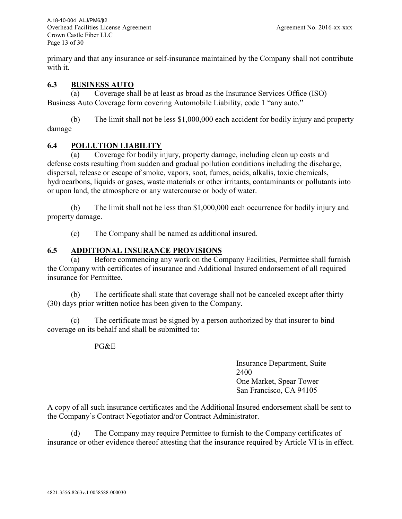Overhead Facilities License Agreement Agreement No. 2016-xx-xxx Crown Castle Fiber LLC Page 13 of 30 A.18-10-004 ALJ/PM6/jt2

primary and that any insurance or self-insurance maintained by the Company shall not contribute with it.

#### **6.3 BUSINESS AUTO**

(a) Coverage shall be at least as broad as the Insurance Services Office (ISO) Business Auto Coverage form covering Automobile Liability, code 1 "any auto."

(b) The limit shall not be less \$1,000,000 each accident for bodily injury and property damage

#### **6.4 POLLUTION LIABILITY**

(a) Coverage for bodily injury, property damage, including clean up costs and defense costs resulting from sudden and gradual pollution conditions including the discharge, dispersal, release or escape of smoke, vapors, soot, fumes, acids, alkalis, toxic chemicals, hydrocarbons, liquids or gases, waste materials or other irritants, contaminants or pollutants into or upon land, the atmosphere or any watercourse or body of water.

(b) The limit shall not be less than \$1,000,000 each occurrence for bodily injury and property damage.

(c) The Company shall be named as additional insured.

#### **6.5 ADDITIONAL INSURANCE PROVISIONS**

(a) Before commencing any work on the Company Facilities, Permittee shall furnish the Company with certificates of insurance and Additional Insured endorsement of all required insurance for Permittee.

(b) The certificate shall state that coverage shall not be canceled except after thirty (30) days prior written notice has been given to the Company.

(c) The certificate must be signed by a person authorized by that insurer to bind coverage on its behalf and shall be submitted to:

#### PG&E

Insurance Department, Suite 2400 One Market, Spear Tower San Francisco, CA 94105

A copy of all such insurance certificates and the Additional Insured endorsement shall be sent to the Company's Contract Negotiator and/or Contract Administrator.

(d) The Company may require Permittee to furnish to the Company certificates of insurance or other evidence thereof attesting that the insurance required by Article VI is in effect.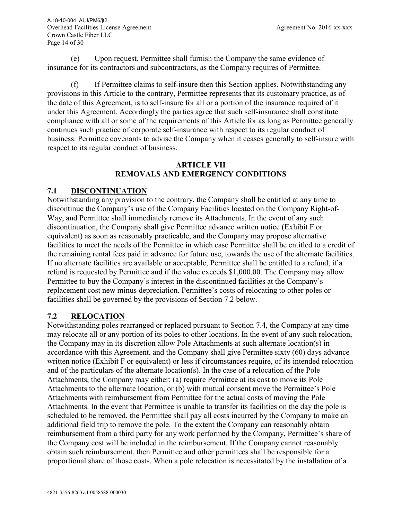(e) Upon request, Permittee shall furnish the Company the same evidence of insurance for its contractors and subcontractors, as the Company requires of Permittee.

(f) If Permittee claims to self-insure then this Section applies. Notwithstanding any provisions in this Article to the contrary, Permittee represents that its customary practice, as of the date of this Agreement, is to self-insure for all or a portion of the insurance required of it under this Agreement. Accordingly the parties agree that such self-insurance shall constitute compliance with all or some of the requirements of this Article for as long as Permittee generally continues such practice of corporate self-insurance with respect to its regular conduct of business. Permittee covenants to advise the Company when it ceases generally to self-insure with respect to its regular conduct of business.

#### **ARTICLE VII REMOVALS AND EMERGENCY CONDITIONS**

# **7.1 DISCONTINUATION**

Notwithstanding any provision to the contrary, the Company shall be entitled at any time to discontinue the Company's use of the Company Facilities located on the Company Right-of-Way, and Permittee shall immediately remove its Attachments. In the event of any such discontinuation, the Company shall give Permittee advance written notice (Exhibit F or equivalent) as soon as reasonably practicable, and the Company may propose alternative facilities to meet the needs of the Permittee in which case Permittee shall be entitled to a credit of the remaining rental fees paid in advance for future use, towards the use of the alternate facilities. If no alternate facilities are available or acceptable, Permittee shall be entitled to a refund, if a refund is requested by Permittee and if the value exceeds \$1,000.00. The Company may allow Permittee to buy the Company's interest in the discontinued facilities at the Company's replacement cost new minus depreciation. Permittee's costs of relocating to other poles or facilities shall be governed by the provisions of Section 7.2 below.

#### **7.2 RELOCATION**

Notwithstanding poles rearranged or replaced pursuant to Section 7.4, the Company at any time may relocate all or any portion of its poles to other locations. In the event of any such relocation, the Company may in its discretion allow Pole Attachments at such alternate location(s) in accordance with this Agreement, and the Company shall give Permittee sixty (60) days advance written notice (Exhibit F or equivalent) or less if circumstances require, of its intended relocation and of the particulars of the alternate location(s). In the case of a relocation of the Pole Attachments, the Company may either: (a) require Permittee at its cost to move its Pole Attachments to the alternate location, or (b) with mutual consent move the Permittee's Pole Attachments with reimbursement from Permittee for the actual costs of moving the Pole Attachments. In the event that Permittee is unable to transfer its facilities on the day the pole is scheduled to be removed, the Permittee shall pay all costs incurred by the Company to make an additional field trip to remove the pole. To the extent the Company can reasonably obtain reimbursement from a third party for any work performed by the Company, Permittee's share of the Company cost will be included in the reimbursement. If the Company cannot reasonably obtain such reimbursement, then Permittee and other permittees shall be responsible for a proportional share of those costs. When a pole relocation is necessitated by the installation of a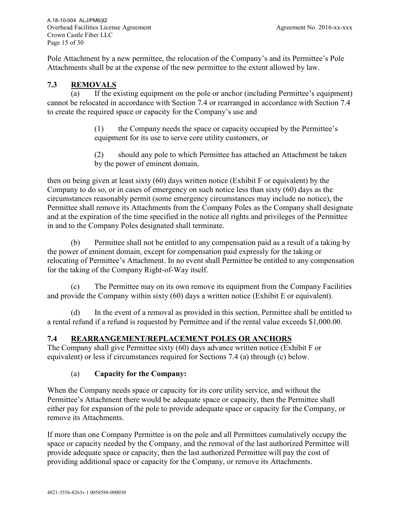Pole Attachment by a new permittee, the relocation of the Company's and its Permittee's Pole Attachments shall be at the expense of the new permittee to the extent allowed by law.

#### **7.3 REMOVALS**

(a) If the existing equipment on the pole or anchor (including Permittee's equipment) cannot be relocated in accordance with Section 7.4 or rearranged in accordance with Section 7.4 to create the required space or capacity for the Company's use and

> (1) the Company needs the space or capacity occupied by the Permittee's equipment for its use to serve core utility customers, or

(2) should any pole to which Permittee has attached an Attachment be taken by the power of eminent domain,

then on being given at least sixty (60) days written notice (Exhibit F or equivalent) by the Company to do so, or in cases of emergency on such notice less than sixty (60) days as the circumstances reasonably permit (some emergency circumstances may include no notice), the Permittee shall remove its Attachments from the Company Poles as the Company shall designate and at the expiration of the time specified in the notice all rights and privileges of the Permittee in and to the Company Poles designated shall terminate.

(b) Permittee shall not be entitled to any compensation paid as a result of a taking by the power of eminent domain, except for compensation paid expressly for the taking or relocating of Permittee's Attachment. In no event shall Permittee be entitled to any compensation for the taking of the Company Right-of-Way itself.

(c) The Permittee may on its own remove its equipment from the Company Facilities and provide the Company within sixty (60) days a written notice (Exhibit E or equivalent).

(d) In the event of a removal as provided in this section, Permittee shall be entitled to a rental refund if a refund is requested by Permittee and if the rental value exceeds \$1,000.00.

#### **7.4 REARRANGEMENT/REPLACEMENT POLES OR ANCHORS**

The Company shall give Permittee sixty (60) days advance written notice (Exhibit F or equivalent) or less if circumstances required for Sections 7.4 (a) through (c) below.

#### (a) **Capacity for the Company:**

When the Company needs space or capacity for its core utility service, and without the Permittee's Attachment there would be adequate space or capacity, then the Permittee shall either pay for expansion of the pole to provide adequate space or capacity for the Company, or remove its Attachments.

If more than one Company Permittee is on the pole and all Permittees cumulatively occupy the space or capacity needed by the Company, and the removal of the last authorized Permittee will provide adequate space or capacity, then the last authorized Permittee will pay the cost of providing additional space or capacity for the Company, or remove its Attachments.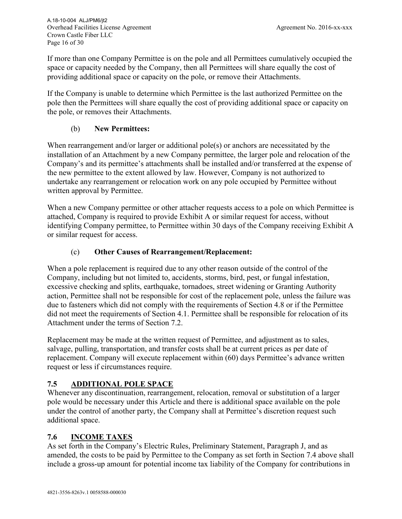If more than one Company Permittee is on the pole and all Permittees cumulatively occupied the space or capacity needed by the Company, then all Permittees will share equally the cost of providing additional space or capacity on the pole, or remove their Attachments.

If the Company is unable to determine which Permittee is the last authorized Permittee on the pole then the Permittees will share equally the cost of providing additional space or capacity on the pole, or removes their Attachments.

#### (b) **New Permittees:**

When rearrangement and/or larger or additional pole(s) or anchors are necessitated by the installation of an Attachment by a new Company permittee, the larger pole and relocation of the Company's and its permittee's attachments shall be installed and/or transferred at the expense of the new permittee to the extent allowed by law. However, Company is not authorized to undertake any rearrangement or relocation work on any pole occupied by Permittee without written approval by Permittee.

When a new Company permittee or other attacher requests access to a pole on which Permittee is attached, Company is required to provide Exhibit A or similar request for access, without identifying Company permittee, to Permittee within 30 days of the Company receiving Exhibit A or similar request for access.

#### (c) **Other Causes of Rearrangement/Replacement:**

When a pole replacement is required due to any other reason outside of the control of the Company, including but not limited to, accidents, storms, bird, pest, or fungal infestation, excessive checking and splits, earthquake, tornadoes, street widening or Granting Authority action, Permittee shall not be responsible for cost of the replacement pole, unless the failure was due to fasteners which did not comply with the requirements of Section 4.8 or if the Permittee did not meet the requirements of Section 4.1. Permittee shall be responsible for relocation of its Attachment under the terms of Section 7.2.

Replacement may be made at the written request of Permittee, and adjustment as to sales, salvage, pulling, transportation, and transfer costs shall be at current prices as per date of replacement. Company will execute replacement within (60) days Permittee's advance written request or less if circumstances require.

#### **7.5 ADDITIONAL POLE SPACE**

Whenever any discontinuation, rearrangement, relocation, removal or substitution of a larger pole would be necessary under this Article and there is additional space available on the pole under the control of another party, the Company shall at Permittee's discretion request such additional space.

#### **7.6 INCOME TAXES**

As set forth in the Company's Electric Rules, Preliminary Statement, Paragraph J, and as amended, the costs to be paid by Permittee to the Company as set forth in Section 7.4 above shall include a gross-up amount for potential income tax liability of the Company for contributions in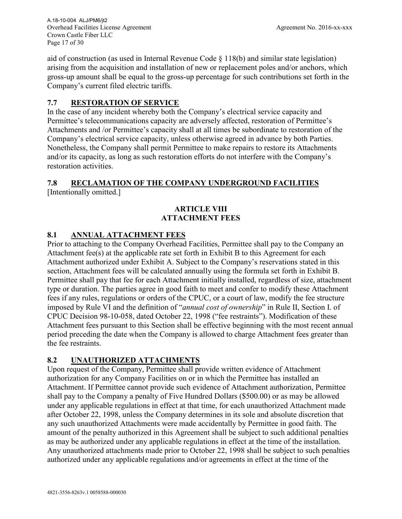Overhead Facilities License Agreement Agreement No. 2016-xx-xxx Crown Castle Fiber LLC Page 17 of 30 A.18-10-004 ALJ/PM6/jt2

aid of construction (as used in Internal Revenue Code  $\S 118(b)$  and similar state legislation) arising from the acquisition and installation of new or replacement poles and/or anchors, which gross-up amount shall be equal to the gross-up percentage for such contributions set forth in the Company's current filed electric tariffs.

#### **7.7 RESTORATION OF SERVICE**

In the case of any incident whereby both the Company's electrical service capacity and Permittee's telecommunications capacity are adversely affected, restoration of Permittee's Attachments and /or Permittee's capacity shall at all times be subordinate to restoration of the Company's electrical service capacity, unless otherwise agreed in advance by both Parties. Nonetheless, the Company shall permit Permittee to make repairs to restore its Attachments and/or its capacity, as long as such restoration efforts do not interfere with the Company's restoration activities.

# **7.8 RECLAMATION OF THE COMPANY UNDERGROUND FACILITIES**

[Intentionally omitted.]

#### **ARTICLE VIII ATTACHMENT FEES**

# **8.1 ANNUAL ATTACHMENT FEES**

Prior to attaching to the Company Overhead Facilities, Permittee shall pay to the Company an Attachment fee(s) at the applicable rate set forth in Exhibit B to this Agreement for each Attachment authorized under Exhibit A. Subject to the Company's reservations stated in this section, Attachment fees will be calculated annually using the formula set forth in Exhibit B. Permittee shall pay that fee for each Attachment initially installed, regardless of size, attachment type or duration. The parties agree in good faith to meet and confer to modify these Attachment fees if any rules, regulations or orders of the CPUC, or a court of law, modify the fee structure imposed by Rule VI and the definition of "*annual cost of ownership*" in Rule II, Section I. of CPUC Decision 98-10-058, dated October 22, 1998 ("fee restraints"). Modification of these Attachment fees pursuant to this Section shall be effective beginning with the most recent annual period preceding the date when the Company is allowed to charge Attachment fees greater than the fee restraints.

# **8.2 UNAUTHORIZED ATTACHMENTS**

Upon request of the Company, Permittee shall provide written evidence of Attachment authorization for any Company Facilities on or in which the Permittee has installed an Attachment. If Permittee cannot provide such evidence of Attachment authorization, Permittee shall pay to the Company a penalty of Five Hundred Dollars (\$500.00) or as may be allowed under any applicable regulations in effect at that time, for each unauthorized Attachment made after October 22, 1998, unless the Company determines in its sole and absolute discretion that any such unauthorized Attachments were made accidentally by Permittee in good faith. The amount of the penalty authorized in this Agreement shall be subject to such additional penalties as may be authorized under any applicable regulations in effect at the time of the installation. Any unauthorized attachments made prior to October 22, 1998 shall be subject to such penalties authorized under any applicable regulations and/or agreements in effect at the time of the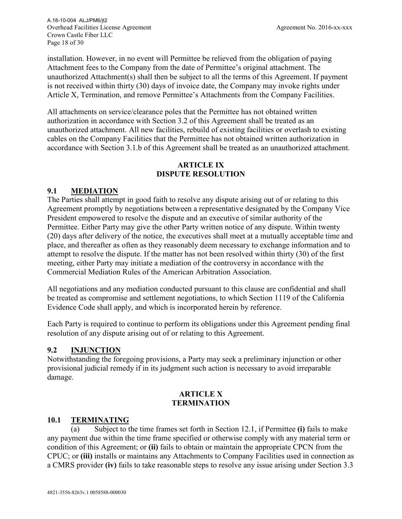Overhead Facilities License Agreement Agreement No. 2016-xx-xxx Crown Castle Fiber LLC Page 18 of 30 A.18-10-004 ALJ/PM6/jt2

installation. However, in no event will Permittee be relieved from the obligation of paying Attachment fees to the Company from the date of Permittee's original attachment. The unauthorized Attachment(s) shall then be subject to all the terms of this Agreement. If payment is not received within thirty (30) days of invoice date, the Company may invoke rights under Article X, Termination, and remove Permittee's Attachments from the Company Facilities.

All attachments on service/clearance poles that the Permittee has not obtained written authorization in accordance with Section 3.2 of this Agreement shall be treated as an unauthorized attachment. All new facilities, rebuild of existing facilities or overlash to existing cables on the Company Facilities that the Permittee has not obtained written authorization in accordance with Section 3.1.b of this Agreement shall be treated as an unauthorized attachment.

#### **ARTICLE IX DISPUTE RESOLUTION**

#### **9.1 MEDIATION**

The Parties shall attempt in good faith to resolve any dispute arising out of or relating to this Agreement promptly by negotiations between a representative designated by the Company Vice President empowered to resolve the dispute and an executive of similar authority of the Permittee. Either Party may give the other Party written notice of any dispute. Within twenty (20) days after delivery of the notice, the executives shall meet at a mutually acceptable time and place, and thereafter as often as they reasonably deem necessary to exchange information and to attempt to resolve the dispute. If the matter has not been resolved within thirty (30) of the first meeting, either Party may initiate a mediation of the controversy in accordance with the Commercial Mediation Rules of the American Arbitration Association.

All negotiations and any mediation conducted pursuant to this clause are confidential and shall be treated as compromise and settlement negotiations, to which Section 1119 of the California Evidence Code shall apply, and which is incorporated herein by reference.

Each Party is required to continue to perform its obligations under this Agreement pending final resolution of any dispute arising out of or relating to this Agreement.

#### **9.2 INJUNCTION**

Notwithstanding the foregoing provisions, a Party may seek a preliminary injunction or other provisional judicial remedy if in its judgment such action is necessary to avoid irreparable damage.

#### **ARTICLE X TERMINATION**

#### **10.1 TERMINATING**

Subject to the time frames set forth in Section 12.1, if Permittee (i) fails to make any payment due within the time frame specified or otherwise comply with any material term or condition of this Agreement; or **(ii)** fails to obtain or maintain the appropriate CPCN from the CPUC; or **(iii)** installs or maintains any Attachments to Company Facilities used in connection as a CMRS provider **(iv)** fails to take reasonable steps to resolve any issue arising under Section 3.3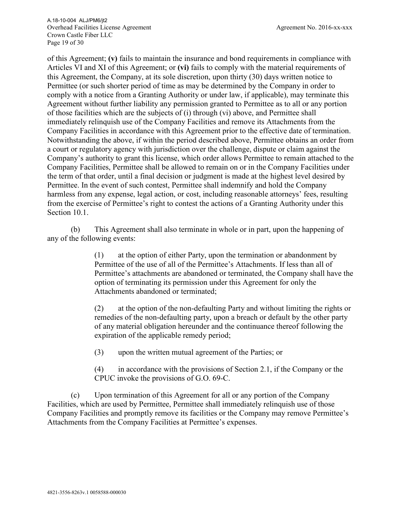Overhead Facilities License Agreement Agreement No. 2016-xx-xxx Crown Castle Fiber LLC Page 19 of 30 A.18-10-004 ALJ/PM6/jt2

of this Agreement; **(v)** fails to maintain the insurance and bond requirements in compliance with Articles VI and XI of this Agreement; or **(vi)** fails to comply with the material requirements of this Agreement, the Company, at its sole discretion, upon thirty (30) days written notice to Permittee (or such shorter period of time as may be determined by the Company in order to comply with a notice from a Granting Authority or under law, if applicable), may terminate this Agreement without further liability any permission granted to Permittee as to all or any portion of those facilities which are the subjects of (i) through (vi) above, and Permittee shall immediately relinquish use of the Company Facilities and remove its Attachments from the Company Facilities in accordance with this Agreement prior to the effective date of termination. Notwithstanding the above, if within the period described above, Permittee obtains an order from a court or regulatory agency with jurisdiction over the challenge, dispute or claim against the Company's authority to grant this license, which order allows Permittee to remain attached to the Company Facilities, Permittee shall be allowed to remain on or in the Company Facilities under the term of that order, until a final decision or judgment is made at the highest level desired by Permittee. In the event of such contest, Permittee shall indemnify and hold the Company harmless from any expense, legal action, or cost, including reasonable attorneys' fees, resulting from the exercise of Permittee's right to contest the actions of a Granting Authority under this Section 10.1.

(b) This Agreement shall also terminate in whole or in part, upon the happening of any of the following events:

> (1) at the option of either Party, upon the termination or abandonment by Permittee of the use of all of the Permittee's Attachments. If less than all of Permittee's attachments are abandoned or terminated, the Company shall have the option of terminating its permission under this Agreement for only the Attachments abandoned or terminated;

(2) at the option of the non-defaulting Party and without limiting the rights or remedies of the non-defaulting party, upon a breach or default by the other party of any material obligation hereunder and the continuance thereof following the expiration of the applicable remedy period;

(3) upon the written mutual agreement of the Parties; or

(4) in accordance with the provisions of Section 2.1, if the Company or the CPUC invoke the provisions of G.O. 69-C.

(c) Upon termination of this Agreement for all or any portion of the Company Facilities, which are used by Permittee, Permittee shall immediately relinquish use of those Company Facilities and promptly remove its facilities or the Company may remove Permittee's Attachments from the Company Facilities at Permittee's expenses.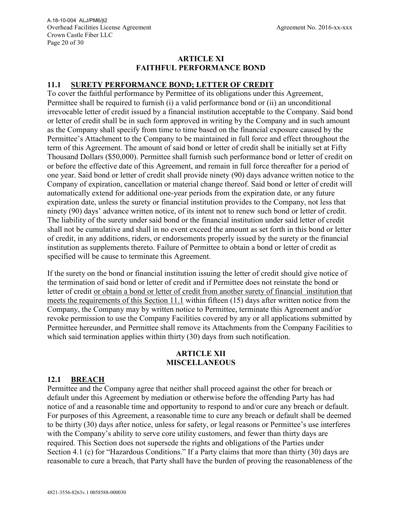#### **ARTICLE XI FAITHFUL PERFORMANCE BOND**

#### **11.1 SURETY PERFORMANCE BOND; LETTER OF CREDIT**

To cover the faithful performance by Permittee of its obligations under this Agreement, Permittee shall be required to furnish (i) a valid performance bond or (ii) an unconditional irrevocable letter of credit issued by a financial institution acceptable to the Company. Said bond or letter of credit shall be in such form approved in writing by the Company and in such amount as the Company shall specify from time to time based on the financial exposure caused by the Permittee's Attachment to the Company to be maintained in full force and effect throughout the term of this Agreement. The amount of said bond or letter of credit shall be initially set at Fifty Thousand Dollars (\$50,000). Permittee shall furnish such performance bond or letter of credit on or before the effective date of this Agreement, and remain in full force thereafter for a period of one year. Said bond or letter of credit shall provide ninety (90) days advance written notice to the Company of expiration, cancellation or material change thereof. Said bond or letter of credit will automatically extend for additional one-year periods from the expiration date, or any future expiration date, unless the surety or financial institution provides to the Company, not less that ninety (90) days' advance written notice, of its intent not to renew such bond or letter of credit. The liability of the surety under said bond or the financial institution under said letter of credit shall not be cumulative and shall in no event exceed the amount as set forth in this bond or letter of credit, in any additions, riders, or endorsements properly issued by the surety or the financial institution as supplements thereto. Failure of Permittee to obtain a bond or letter of credit as specified will be cause to terminate this Agreement.

If the surety on the bond or financial institution issuing the letter of credit should give notice of the termination of said bond or letter of credit and if Permittee does not reinstate the bond or letter of credit or obtain a bond or letter of credit from another surety of financial institution that meets the requirements of this Section 11.1 within fifteen (15) days after written notice from the Company, the Company may by written notice to Permittee, terminate this Agreement and/or revoke permission to use the Company Facilities covered by any or all applications submitted by Permittee hereunder, and Permittee shall remove its Attachments from the Company Facilities to which said termination applies within thirty (30) days from such notification.

#### **ARTICLE XII MISCELLANEOUS**

#### **12.1 BREACH**

Permittee and the Company agree that neither shall proceed against the other for breach or default under this Agreement by mediation or otherwise before the offending Party has had notice of and a reasonable time and opportunity to respond to and/or cure any breach or default. For purposes of this Agreement, a reasonable time to cure any breach or default shall be deemed to be thirty (30) days after notice, unless for safety, or legal reasons or Permittee's use interferes with the Company's ability to serve core utility customers, and fewer than thirty days are required. This Section does not supersede the rights and obligations of the Parties under Section 4.1 (c) for "Hazardous Conditions." If a Party claims that more than thirty (30) days are reasonable to cure a breach, that Party shall have the burden of proving the reasonableness of the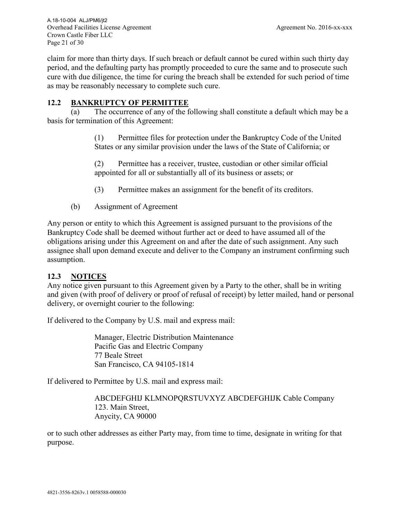claim for more than thirty days. If such breach or default cannot be cured within such thirty day period, and the defaulting party has promptly proceeded to cure the same and to prosecute such cure with due diligence, the time for curing the breach shall be extended for such period of time as may be reasonably necessary to complete such cure.

## **12.2 BANKRUPTCY OF PERMITTEE**

(a) The occurrence of any of the following shall constitute a default which may be a basis for termination of this Agreement:

> (1) Permittee files for protection under the Bankruptcy Code of the United States or any similar provision under the laws of the State of California; or

(2) Permittee has a receiver, trustee, custodian or other similar official appointed for all or substantially all of its business or assets; or

- (3) Permittee makes an assignment for the benefit of its creditors.
- (b) Assignment of Agreement

Any person or entity to which this Agreement is assigned pursuant to the provisions of the Bankruptcy Code shall be deemed without further act or deed to have assumed all of the obligations arising under this Agreement on and after the date of such assignment. Any such assignee shall upon demand execute and deliver to the Company an instrument confirming such assumption.

#### **12.3 NOTICES**

Any notice given pursuant to this Agreement given by a Party to the other, shall be in writing and given (with proof of delivery or proof of refusal of receipt) by letter mailed, hand or personal delivery, or overnight courier to the following:

If delivered to the Company by U.S. mail and express mail:

Manager, Electric Distribution Maintenance Pacific Gas and Electric Company 77 Beale Street San Francisco, CA 94105-1814

If delivered to Permittee by U.S. mail and express mail:

ABCDEFGHIJ KLMNOPQRSTUVXYZ ABCDEFGHIJK Cable Company 123. Main Street, Anycity, CA 90000

or to such other addresses as either Party may, from time to time, designate in writing for that purpose.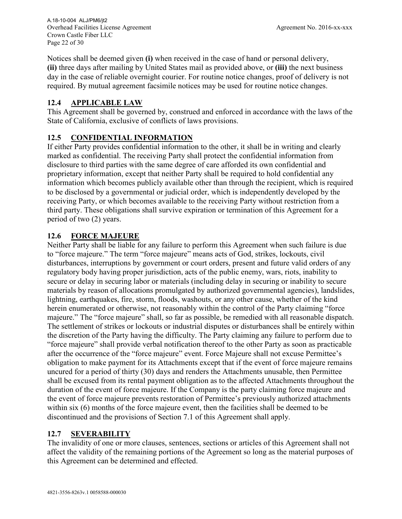Overhead Facilities License Agreement Agreement No. 2016-xx-xxx Crown Castle Fiber LLC Page 22 of 30 A.18-10-004 ALJ/PM6/jt2

Notices shall be deemed given **(i)** when received in the case of hand or personal delivery, **(ii)** three days after mailing by United States mail as provided above, or **(iii)** the next business day in the case of reliable overnight courier. For routine notice changes, proof of delivery is not required. By mutual agreement facsimile notices may be used for routine notice changes.

## **12.4 APPLICABLE LAW**

This Agreement shall be governed by, construed and enforced in accordance with the laws of the State of California, exclusive of conflicts of laws provisions.

# **12.5 CONFIDENTIAL INFORMATION**

If either Party provides confidential information to the other, it shall be in writing and clearly marked as confidential. The receiving Party shall protect the confidential information from disclosure to third parties with the same degree of care afforded its own confidential and proprietary information, except that neither Party shall be required to hold confidential any information which becomes publicly available other than through the recipient, which is required to be disclosed by a governmental or judicial order, which is independently developed by the receiving Party, or which becomes available to the receiving Party without restriction from a third party. These obligations shall survive expiration or termination of this Agreement for a period of two (2) years.

#### **12.6 FORCE MAJEURE**

Neither Party shall be liable for any failure to perform this Agreement when such failure is due to "force majeure." The term "force majeure" means acts of God, strikes, lockouts, civil disturbances, interruptions by government or court orders, present and future valid orders of any regulatory body having proper jurisdiction, acts of the public enemy, wars, riots, inability to secure or delay in securing labor or materials (including delay in securing or inability to secure materials by reason of allocations promulgated by authorized governmental agencies), landslides, lightning, earthquakes, fire, storm, floods, washouts, or any other cause, whether of the kind herein enumerated or otherwise, not reasonably within the control of the Party claiming "force majeure." The "force majeure" shall, so far as possible, be remedied with all reasonable dispatch. The settlement of strikes or lockouts or industrial disputes or disturbances shall be entirely within the discretion of the Party having the difficulty. The Party claiming any failure to perform due to "force majeure" shall provide verbal notification thereof to the other Party as soon as practicable after the occurrence of the "force majeure" event. Force Majeure shall not excuse Permittee's obligation to make payment for its Attachments except that if the event of force majeure remains uncured for a period of thirty (30) days and renders the Attachments unusable, then Permittee shall be excused from its rental payment obligation as to the affected Attachments throughout the duration of the event of force majeure. If the Company is the party claiming force majeure and the event of force majeure prevents restoration of Permittee's previously authorized attachments within six (6) months of the force majeure event, then the facilities shall be deemed to be discontinued and the provisions of Section 7.1 of this Agreement shall apply.

# **12.7 SEVERABILITY**

The invalidity of one or more clauses, sentences, sections or articles of this Agreement shall not affect the validity of the remaining portions of the Agreement so long as the material purposes of this Agreement can be determined and effected.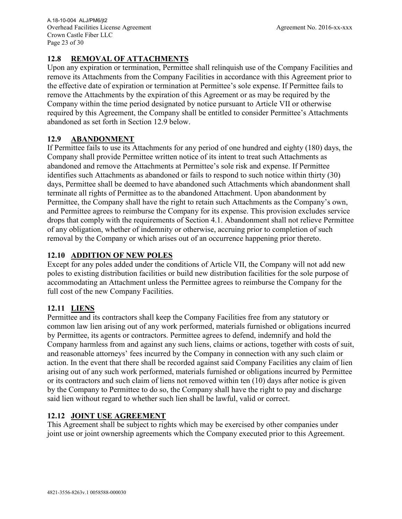#### **12.8 REMOVAL OF ATTACHMENTS**

Upon any expiration or termination, Permittee shall relinquish use of the Company Facilities and remove its Attachments from the Company Facilities in accordance with this Agreement prior to the effective date of expiration or termination at Permittee's sole expense. If Permittee fails to remove the Attachments by the expiration of this Agreement or as may be required by the Company within the time period designated by notice pursuant to Article VII or otherwise required by this Agreement, the Company shall be entitled to consider Permittee's Attachments abandoned as set forth in Section 12.9 below.

#### **12.9 ABANDONMENT**

If Permittee fails to use its Attachments for any period of one hundred and eighty (180) days, the Company shall provide Permittee written notice of its intent to treat such Attachments as abandoned and remove the Attachments at Permittee's sole risk and expense. If Permittee identifies such Attachments as abandoned or fails to respond to such notice within thirty (30) days, Permittee shall be deemed to have abandoned such Attachments which abandonment shall terminate all rights of Permittee as to the abandoned Attachment. Upon abandonment by Permittee, the Company shall have the right to retain such Attachments as the Company's own, and Permittee agrees to reimburse the Company for its expense. This provision excludes service drops that comply with the requirements of Section 4.1. Abandonment shall not relieve Permittee of any obligation, whether of indemnity or otherwise, accruing prior to completion of such removal by the Company or which arises out of an occurrence happening prior thereto.

#### **12.10 ADDITION OF NEW POLES**

Except for any poles added under the conditions of Article VII, the Company will not add new poles to existing distribution facilities or build new distribution facilities for the sole purpose of accommodating an Attachment unless the Permittee agrees to reimburse the Company for the full cost of the new Company Facilities.

#### **12.11 LIENS**

Permittee and its contractors shall keep the Company Facilities free from any statutory or common law lien arising out of any work performed, materials furnished or obligations incurred by Permittee, its agents or contractors. Permittee agrees to defend, indemnify and hold the Company harmless from and against any such liens, claims or actions, together with costs of suit, and reasonable attorneys' fees incurred by the Company in connection with any such claim or action. In the event that there shall be recorded against said Company Facilities any claim of lien arising out of any such work performed, materials furnished or obligations incurred by Permittee or its contractors and such claim of liens not removed within ten (10) days after notice is given by the Company to Permittee to do so, the Company shall have the right to pay and discharge said lien without regard to whether such lien shall be lawful, valid or correct.

#### **12.12 JOINT USE AGREEMENT**

This Agreement shall be subject to rights which may be exercised by other companies under joint use or joint ownership agreements which the Company executed prior to this Agreement.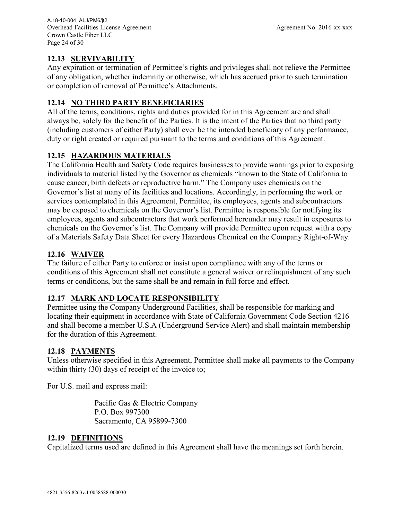# **12.13 SURVIVABILITY**

Any expiration or termination of Permittee's rights and privileges shall not relieve the Permittee of any obligation, whether indemnity or otherwise, which has accrued prior to such termination or completion of removal of Permittee's Attachments.

## **12.14 NO THIRD PARTY BENEFICIARIES**

All of the terms, conditions, rights and duties provided for in this Agreement are and shall always be, solely for the benefit of the Parties. It is the intent of the Parties that no third party (including customers of either Party) shall ever be the intended beneficiary of any performance, duty or right created or required pursuant to the terms and conditions of this Agreement.

# **12.15 HAZARDOUS MATERIALS**

The California Health and Safety Code requires businesses to provide warnings prior to exposing individuals to material listed by the Governor as chemicals "known to the State of California to cause cancer, birth defects or reproductive harm." The Company uses chemicals on the Governor's list at many of its facilities and locations. Accordingly, in performing the work or services contemplated in this Agreement, Permittee, its employees, agents and subcontractors may be exposed to chemicals on the Governor's list. Permittee is responsible for notifying its employees, agents and subcontractors that work performed hereunder may result in exposures to chemicals on the Governor's list. The Company will provide Permittee upon request with a copy of a Materials Safety Data Sheet for every Hazardous Chemical on the Company Right-of-Way.

# **12.16 WAIVER**

The failure of either Party to enforce or insist upon compliance with any of the terms or conditions of this Agreement shall not constitute a general waiver or relinquishment of any such terms or conditions, but the same shall be and remain in full force and effect.

#### **12.17 MARK AND LOCATE RESPONSIBILITY**

Permittee using the Company Underground Facilities, shall be responsible for marking and locating their equipment in accordance with State of California Government Code Section 4216 and shall become a member U.S.A (Underground Service Alert) and shall maintain membership for the duration of this Agreement.

#### **12.18 PAYMENTS**

Unless otherwise specified in this Agreement, Permittee shall make all payments to the Company within thirty (30) days of receipt of the invoice to;

For U.S. mail and express mail:

Pacific Gas & Electric Company P.O. Box 997300 Sacramento, CA 95899-7300

#### **12.19 DEFINITIONS**

Capitalized terms used are defined in this Agreement shall have the meanings set forth herein.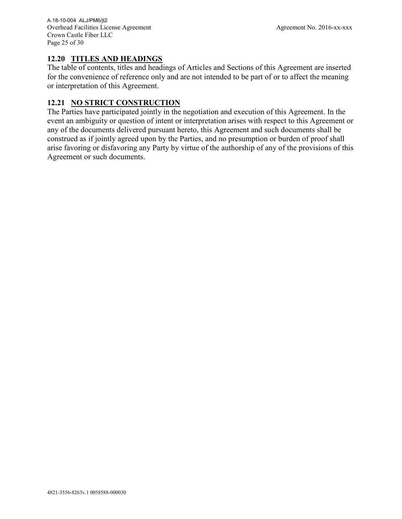## **12.20 TITLES AND HEADINGS**

The table of contents, titles and headings of Articles and Sections of this Agreement are inserted for the convenience of reference only and are not intended to be part of or to affect the meaning or interpretation of this Agreement.

# **12.21 NO STRICT CONSTRUCTION**

The Parties have participated jointly in the negotiation and execution of this Agreement. In the event an ambiguity or question of intent or interpretation arises with respect to this Agreement or any of the documents delivered pursuant hereto, this Agreement and such documents shall be construed as if jointly agreed upon by the Parties, and no presumption or burden of proof shall arise favoring or disfavoring any Party by virtue of the authorship of any of the provisions of this Agreement or such documents.